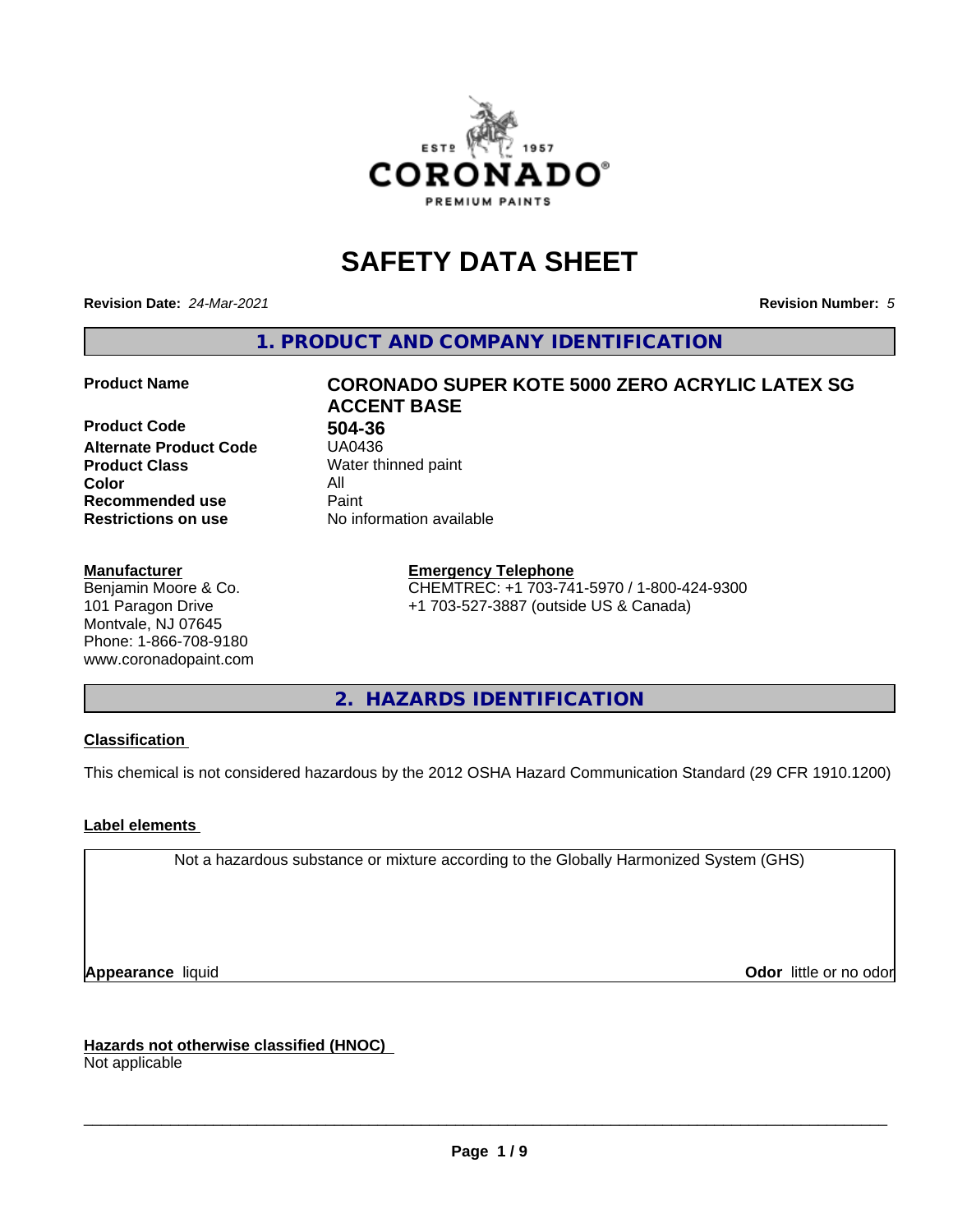

# **SAFETY DATA SHEET**

**Revision Date:** *24-Mar-2021* **Revision Number:** *5*

**1. PRODUCT AND COMPANY IDENTIFICATION**

**Product Code 61 1804-36**<br>**Alternate Product Code 61 150436 Alternate Product Code Product Class** Water thinned paint<br> **Color** All **Color** All **Recommended use Caint Restrictions on use** No information available

## **Manufacturer**

Benjamin Moore & Co. 101 Paragon Drive Montvale, NJ 07645 Phone: 1-866-708-9180 www.coronadopaint.com

# **Product Name CORONADO SUPER KOTE 5000 ZERO ACRYLIC LATEX SG ACCENT BASE**

**Emergency Telephone** CHEMTREC: +1 703-741-5970 / 1-800-424-9300 +1 703-527-3887 (outside US & Canada)

**2. HAZARDS IDENTIFICATION**

## **Classification**

This chemical is not considered hazardous by the 2012 OSHA Hazard Communication Standard (29 CFR 1910.1200)

## **Label elements**

Not a hazardous substance or mixture according to the Globally Harmonized System (GHS)

**Appearance** liquid **Contract Contract Contract Contract Contract Contract Contract Contract Contract Contract Contract Contract Contract Contract Contract Contract Contract Contract Contract Contract Contract Contract Con** 

**Hazards not otherwise classified (HNOC)**

Not applicable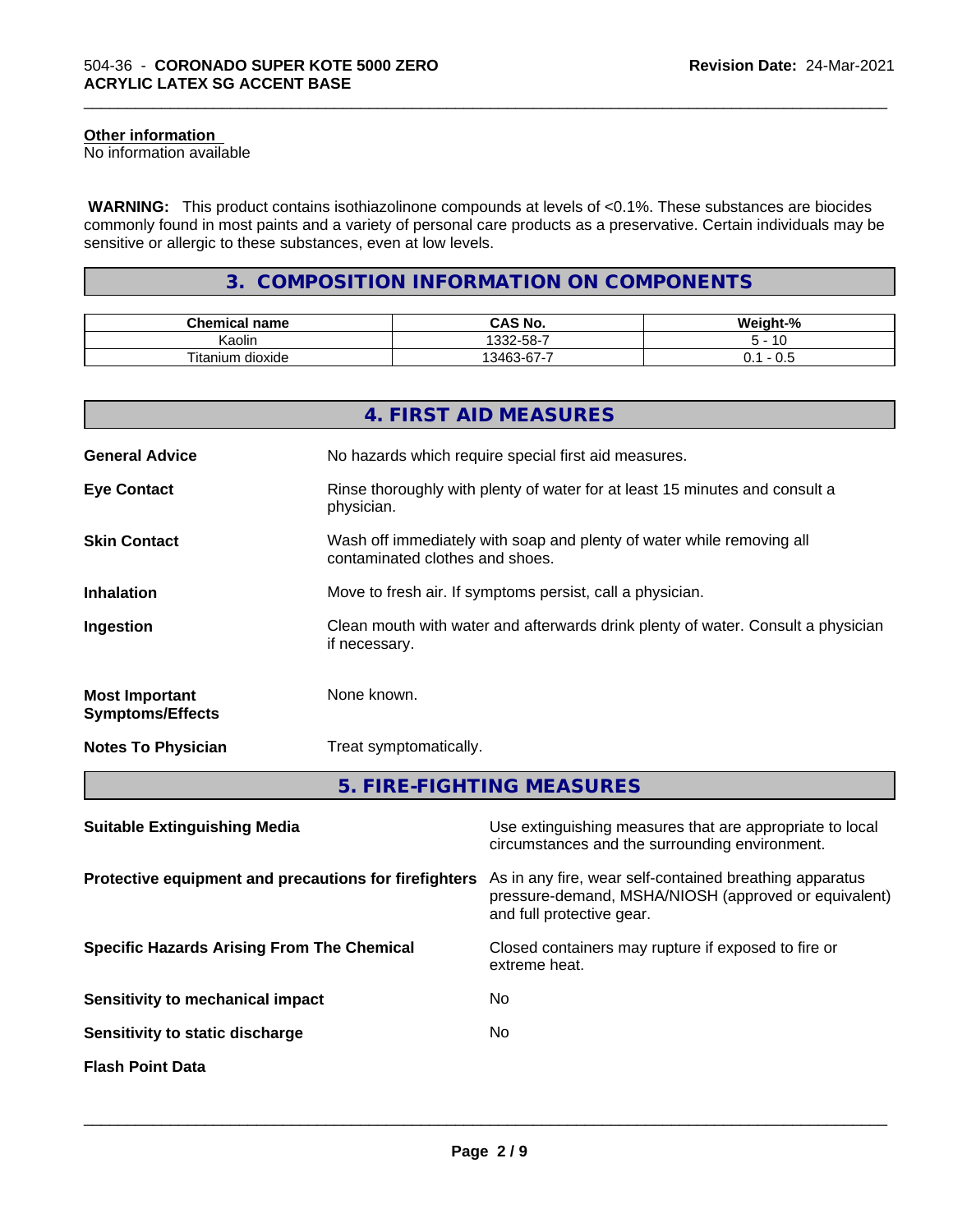## **Other information**

No information available

 **WARNING:** This product contains isothiazolinone compounds at levels of <0.1%. These substances are biocides commonly found in most paints and a variety of personal care products as a preservative. Certain individuals may be sensitive or allergic to these substances, even at low levels.

\_\_\_\_\_\_\_\_\_\_\_\_\_\_\_\_\_\_\_\_\_\_\_\_\_\_\_\_\_\_\_\_\_\_\_\_\_\_\_\_\_\_\_\_\_\_\_\_\_\_\_\_\_\_\_\_\_\_\_\_\_\_\_\_\_\_\_\_\_\_\_\_\_\_\_\_\_\_\_\_\_\_\_\_\_\_\_\_\_\_\_\_\_

## **3. COMPOSITION INFORMATION ON COMPONENTS**

| <b>Chemical</b><br>name           | O NU<br>$\mathbf{a}$<br>CAS No.             | <br>- 70              |
|-----------------------------------|---------------------------------------------|-----------------------|
| . .<br>. .<br>Kaolin              | .332-58-7                                   | $\overline{A}$<br>1 U |
| ÷.<br><br>⊺ıtan<br>dioxide<br>um. | -<br>$\sim$<br>$\sim$<br>$\sqrt{2}$<br>スクトン | ັບ.ບ<br>◡.            |

|                                                  | 4. FIRST AID MEASURES                                                                                    |
|--------------------------------------------------|----------------------------------------------------------------------------------------------------------|
| <b>General Advice</b>                            | No hazards which require special first aid measures.                                                     |
| <b>Eye Contact</b>                               | Rinse thoroughly with plenty of water for at least 15 minutes and consult a<br>physician.                |
| <b>Skin Contact</b>                              | Wash off immediately with soap and plenty of water while removing all<br>contaminated clothes and shoes. |
| <b>Inhalation</b>                                | Move to fresh air. If symptoms persist, call a physician.                                                |
| Ingestion                                        | Clean mouth with water and afterwards drink plenty of water. Consult a physician<br>if necessary.        |
| <b>Most Important</b><br><b>Symptoms/Effects</b> | None known.                                                                                              |
| <b>Notes To Physician</b>                        | Treat symptomatically.                                                                                   |
|                                                  | 5. FIRE-FIGHTING MEASURES                                                                                |

| Use extinguishing measures that are appropriate to local<br>circumstances and the surrounding environment.                                   |
|----------------------------------------------------------------------------------------------------------------------------------------------|
| As in any fire, wear self-contained breathing apparatus<br>pressure-demand, MSHA/NIOSH (approved or equivalent)<br>and full protective gear. |
| Closed containers may rupture if exposed to fire or<br>extreme heat.                                                                         |
| No.                                                                                                                                          |
| No.                                                                                                                                          |
|                                                                                                                                              |
|                                                                                                                                              |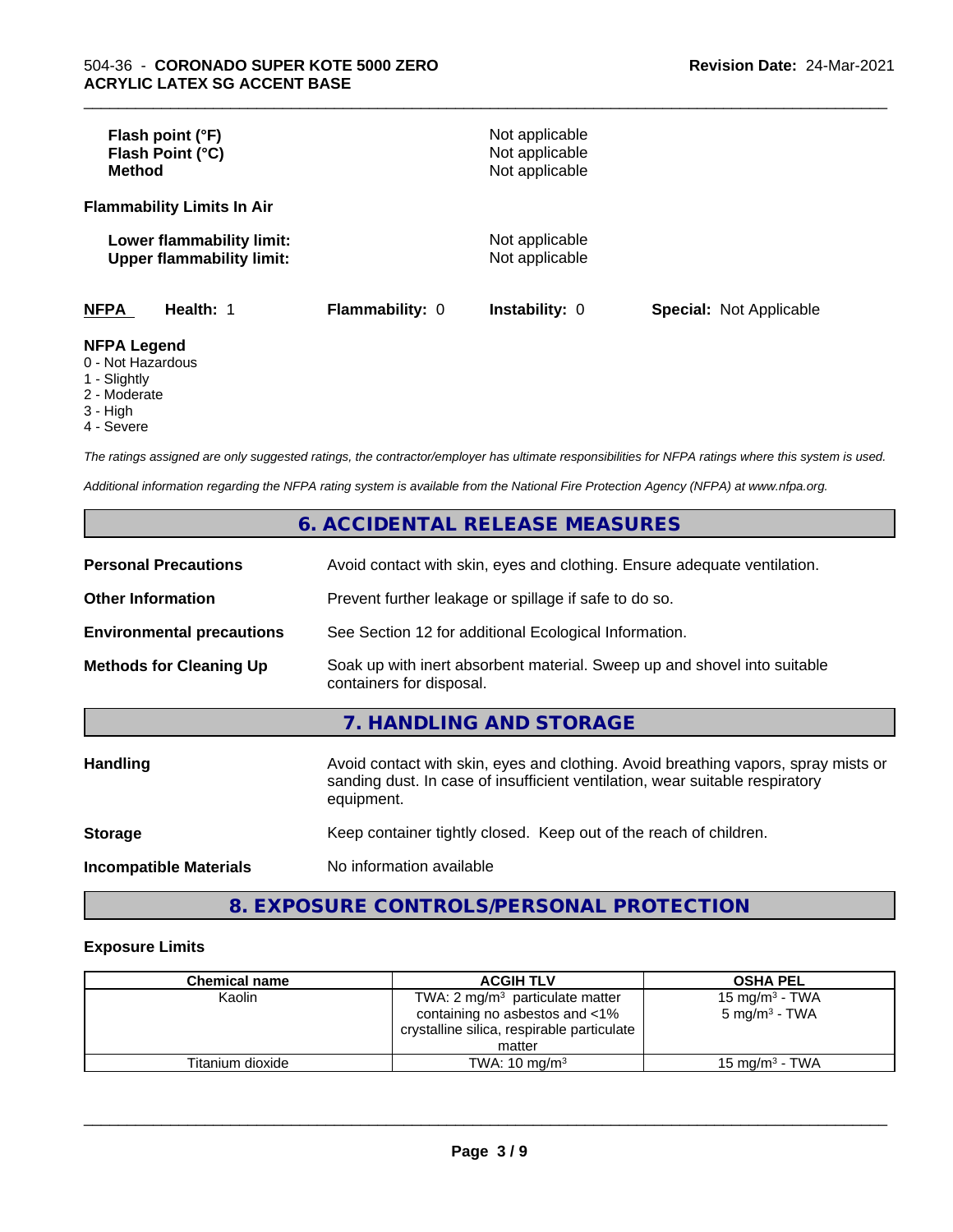| Flash point (°F)<br>Flash Point (°C)<br><b>Method</b>                  |                 | Not applicable<br>Not applicable<br>Not applicable |                                |
|------------------------------------------------------------------------|-----------------|----------------------------------------------------|--------------------------------|
| <b>Flammability Limits In Air</b>                                      |                 |                                                    |                                |
| Lower flammability limit:<br><b>Upper flammability limit:</b>          |                 | Not applicable<br>Not applicable                   |                                |
| <b>NFPA</b><br>Health: 1                                               | Flammability: 0 | <b>Instability: 0</b>                              | <b>Special: Not Applicable</b> |
| <b>NFPA Legend</b><br>0 - Not Hazardous<br>$\overline{A}$ Clientals of |                 |                                                    |                                |

\_\_\_\_\_\_\_\_\_\_\_\_\_\_\_\_\_\_\_\_\_\_\_\_\_\_\_\_\_\_\_\_\_\_\_\_\_\_\_\_\_\_\_\_\_\_\_\_\_\_\_\_\_\_\_\_\_\_\_\_\_\_\_\_\_\_\_\_\_\_\_\_\_\_\_\_\_\_\_\_\_\_\_\_\_\_\_\_\_\_\_\_\_

1 - Slightly

2 - Moderate

3 - High

4 - Severe

*The ratings assigned are only suggested ratings, the contractor/employer has ultimate responsibilities for NFPA ratings where this system is used.*

*Additional information regarding the NFPA rating system is available from the National Fire Protection Agency (NFPA) at www.nfpa.org.*

## **6. ACCIDENTAL RELEASE MEASURES**

| <b>Personal Precautions</b>      | Avoid contact with skin, eyes and clothing. Ensure adequate ventilation.                                                                                                         |
|----------------------------------|----------------------------------------------------------------------------------------------------------------------------------------------------------------------------------|
| <b>Other Information</b>         | Prevent further leakage or spillage if safe to do so.                                                                                                                            |
| <b>Environmental precautions</b> | See Section 12 for additional Ecological Information.                                                                                                                            |
| <b>Methods for Cleaning Up</b>   | Soak up with inert absorbent material. Sweep up and shovel into suitable<br>containers for disposal.                                                                             |
|                                  | 7. HANDLING AND STORAGE                                                                                                                                                          |
| <b>Handling</b>                  | Avoid contact with skin, eyes and clothing. Avoid breathing vapors, spray mists or<br>sanding dust. In case of insufficient ventilation, wear suitable respiratory<br>equipment. |
| <b>Storage</b>                   | Keep container tightly closed. Keep out of the reach of children.                                                                                                                |
| <b>Incompatible Materials</b>    | No information available                                                                                                                                                         |

## **8. EXPOSURE CONTROLS/PERSONAL PROTECTION**

## **Exposure Limits**

| <b>Chemical name</b> | <b>ACGIH TLV</b>                           | <b>OSHA PEL</b>            |
|----------------------|--------------------------------------------|----------------------------|
| Kaolin               | TWA: 2 $mg/m3$ particulate matter          | 15 mg/m <sup>3</sup> - TWA |
|                      | containing no asbestos and <1%             | $5 \text{ mg/m}^3$ - TWA   |
|                      | crystalline silica, respirable particulate |                            |
|                      | matter                                     |                            |
| Titanium dioxide     | TWA: $10 \text{ mg/m}^3$                   | 15 mg/m $3$ - TWA          |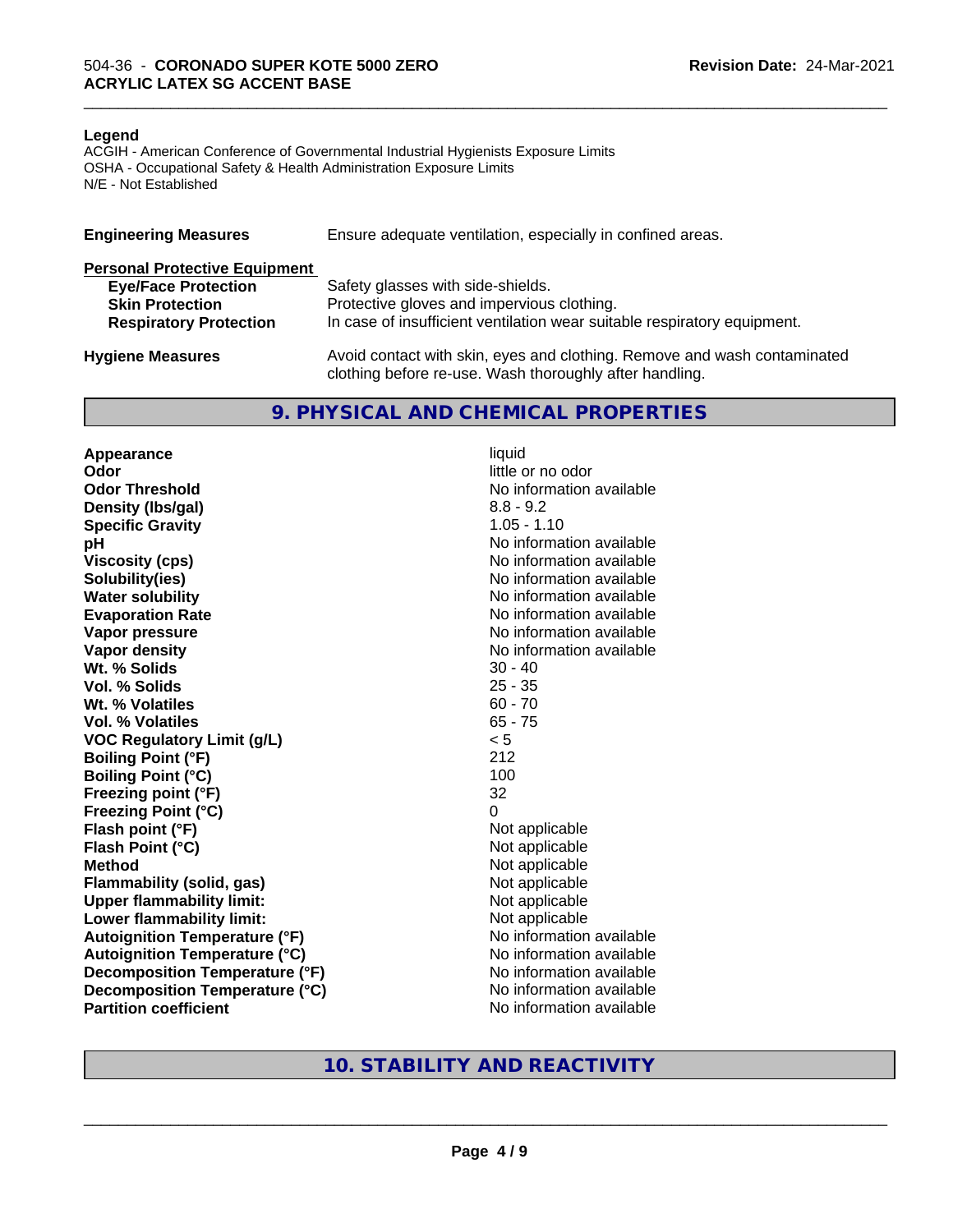### **Legend**

ACGIH - American Conference of Governmental Industrial Hygienists Exposure Limits OSHA - Occupational Safety & Health Administration Exposure Limits N/E - Not Established

| <b>Engineering Measures</b>          | Ensure adequate ventilation, especially in confined areas.                                                                          |
|--------------------------------------|-------------------------------------------------------------------------------------------------------------------------------------|
| <b>Personal Protective Equipment</b> |                                                                                                                                     |
| <b>Eye/Face Protection</b>           | Safety glasses with side-shields.                                                                                                   |
| <b>Skin Protection</b>               | Protective gloves and impervious clothing.                                                                                          |
| <b>Respiratory Protection</b>        | In case of insufficient ventilation wear suitable respiratory equipment.                                                            |
| <b>Hygiene Measures</b>              | Avoid contact with skin, eyes and clothing. Remove and wash contaminated<br>clothing before re-use. Wash thoroughly after handling. |

## **9. PHYSICAL AND CHEMICAL PROPERTIES**

**Appearance** liquid **Odor** little or no odor **Odor Threshold No information available No information available Density (lbs/gal)** 8.8 - 9.2<br> **Specific Gravity** 8.8 - 1.10 **Specific Gravity pH pH**  $\blacksquare$ **Viscosity (cps)** No information available **Solubility(ies)** No information available **Water solubility** No information available **Evaporation Rate No information available No information available Vapor pressure** No information available **No information available Vapor density**<br> **We Solids**<br>
We Solids
20 - 40 **Wt. % Solids Vol. % Solids** 25 - 35 **Wt.** % Volatiles 60 - 70 **Vol. % Volatiles** 65 - 75 **VOC Regulatory Limit (g/L)** < 5 **Boiling Point (°F)** 212 **Boiling Point (°C)** 100 **Freezing point (°F)** 32 **Freezing Point (°C)** 0 **Flash point (°F)**<br> **Flash Point (°C)**<br> **Flash Point (°C)**<br> **C Flash Point (°C) Method** Not applicable **Flammability (solid, gas)**<br> **Upper flammability limit:**<br>
Upper flammability limit:<br>  $\begin{array}{ccc}\n\bullet & \bullet & \bullet \\
\bullet & \bullet & \bullet\n\end{array}$  Not applicable **Upper flammability limit:**<br> **Lower flammability limit:** Not applicable Not applicable **Lower flammability limit: Autoignition Temperature (°F)** No information available **Autoignition Temperature (°C)** No information available **Decomposition Temperature (°F)** No information available **Decomposition Temperature (°C)** No information available **Partition coefficient** No information available

\_\_\_\_\_\_\_\_\_\_\_\_\_\_\_\_\_\_\_\_\_\_\_\_\_\_\_\_\_\_\_\_\_\_\_\_\_\_\_\_\_\_\_\_\_\_\_\_\_\_\_\_\_\_\_\_\_\_\_\_\_\_\_\_\_\_\_\_\_\_\_\_\_\_\_\_\_\_\_\_\_\_\_\_\_\_\_\_\_\_\_\_\_

## **10. STABILITY AND REACTIVITY**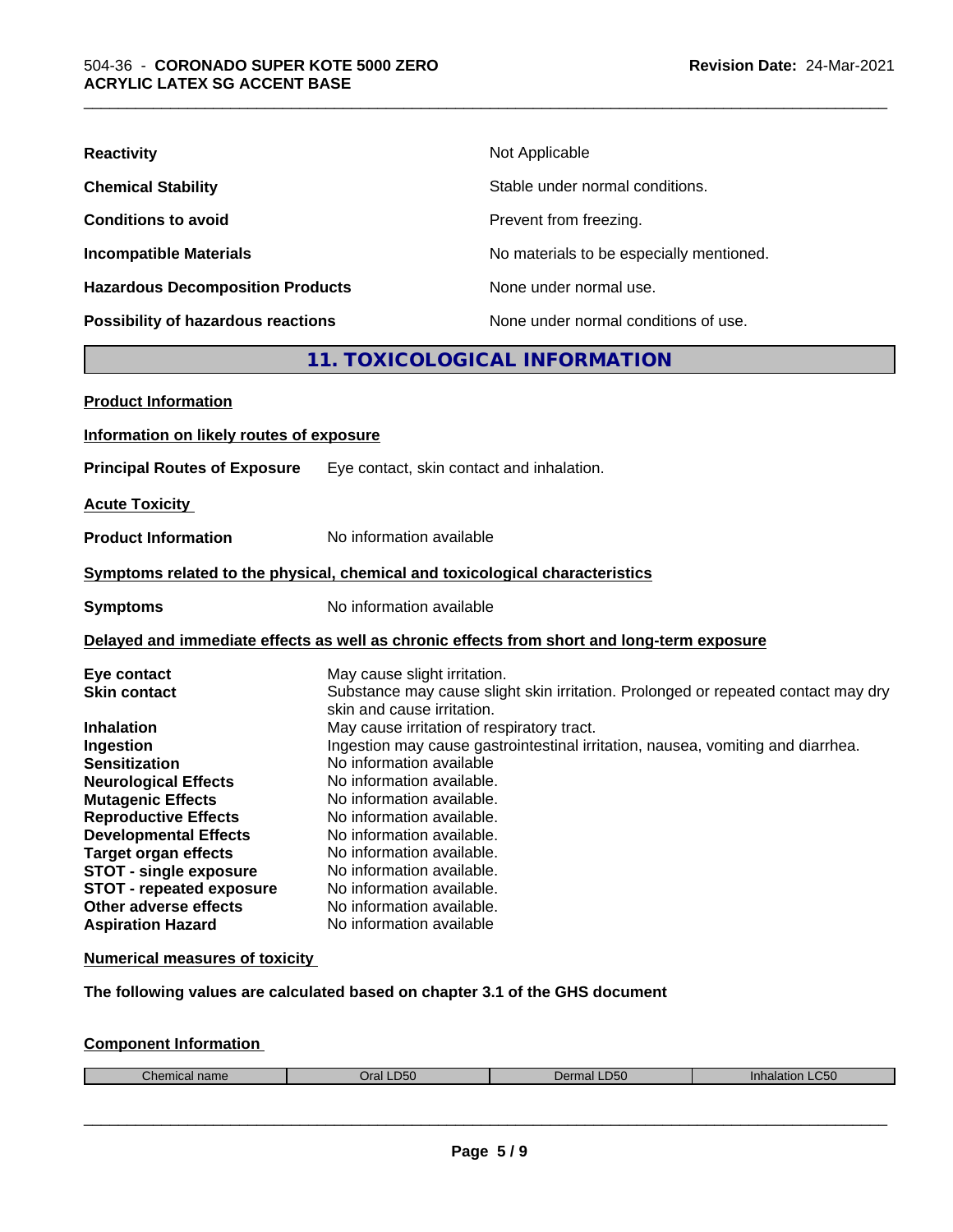| <b>Reactivity</b>                       | Not Applicable                           |
|-----------------------------------------|------------------------------------------|
| <b>Chemical Stability</b>               | Stable under normal conditions.          |
| <b>Conditions to avoid</b>              | Prevent from freezing.                   |
| <b>Incompatible Materials</b>           | No materials to be especially mentioned. |
| <b>Hazardous Decomposition Products</b> | None under normal use.                   |
| Possibility of hazardous reactions      | None under normal conditions of use.     |

## **11. TOXICOLOGICAL INFORMATION**

\_\_\_\_\_\_\_\_\_\_\_\_\_\_\_\_\_\_\_\_\_\_\_\_\_\_\_\_\_\_\_\_\_\_\_\_\_\_\_\_\_\_\_\_\_\_\_\_\_\_\_\_\_\_\_\_\_\_\_\_\_\_\_\_\_\_\_\_\_\_\_\_\_\_\_\_\_\_\_\_\_\_\_\_\_\_\_\_\_\_\_\_\_

| <b>Product Information</b>                                                                                                                                                                                                                                                                                                                         |                                                                                                                                                                                                                                                                                                                                                                                                                                                                                                                                                      |
|----------------------------------------------------------------------------------------------------------------------------------------------------------------------------------------------------------------------------------------------------------------------------------------------------------------------------------------------------|------------------------------------------------------------------------------------------------------------------------------------------------------------------------------------------------------------------------------------------------------------------------------------------------------------------------------------------------------------------------------------------------------------------------------------------------------------------------------------------------------------------------------------------------------|
| Information on likely routes of exposure                                                                                                                                                                                                                                                                                                           |                                                                                                                                                                                                                                                                                                                                                                                                                                                                                                                                                      |
| <b>Principal Routes of Exposure</b>                                                                                                                                                                                                                                                                                                                | Eye contact, skin contact and inhalation.                                                                                                                                                                                                                                                                                                                                                                                                                                                                                                            |
| <b>Acute Toxicity</b>                                                                                                                                                                                                                                                                                                                              |                                                                                                                                                                                                                                                                                                                                                                                                                                                                                                                                                      |
| <b>Product Information</b>                                                                                                                                                                                                                                                                                                                         | No information available                                                                                                                                                                                                                                                                                                                                                                                                                                                                                                                             |
|                                                                                                                                                                                                                                                                                                                                                    | Symptoms related to the physical, chemical and toxicological characteristics                                                                                                                                                                                                                                                                                                                                                                                                                                                                         |
| <b>Symptoms</b>                                                                                                                                                                                                                                                                                                                                    | No information available                                                                                                                                                                                                                                                                                                                                                                                                                                                                                                                             |
|                                                                                                                                                                                                                                                                                                                                                    | Delayed and immediate effects as well as chronic effects from short and long-term exposure                                                                                                                                                                                                                                                                                                                                                                                                                                                           |
| Eye contact<br><b>Skin contact</b><br><b>Inhalation</b><br>Ingestion<br><b>Sensitization</b><br><b>Neurological Effects</b><br><b>Mutagenic Effects</b><br><b>Reproductive Effects</b><br><b>Developmental Effects</b><br><b>Target organ effects</b><br><b>STOT - single exposure</b><br><b>STOT - repeated exposure</b><br>Other adverse effects | May cause slight irritation.<br>Substance may cause slight skin irritation. Prolonged or repeated contact may dry<br>skin and cause irritation.<br>May cause irritation of respiratory tract.<br>Ingestion may cause gastrointestinal irritation, nausea, vomiting and diarrhea.<br>No information available<br>No information available.<br>No information available.<br>No information available.<br>No information available.<br>No information available.<br>No information available.<br>No information available.<br>No information available. |

## **Numerical measures of toxicity**

**The following values are calculated based on chapter 3.1 of the GHS document**

## **Component Information**

|  | - - | $\sim$<br>hemic.<br><u> Паше</u> | D <sub>50</sub><br>)ral | ມລເ | C50<br>ınn<br>1 I C |
|--|-----|----------------------------------|-------------------------|-----|---------------------|
|--|-----|----------------------------------|-------------------------|-----|---------------------|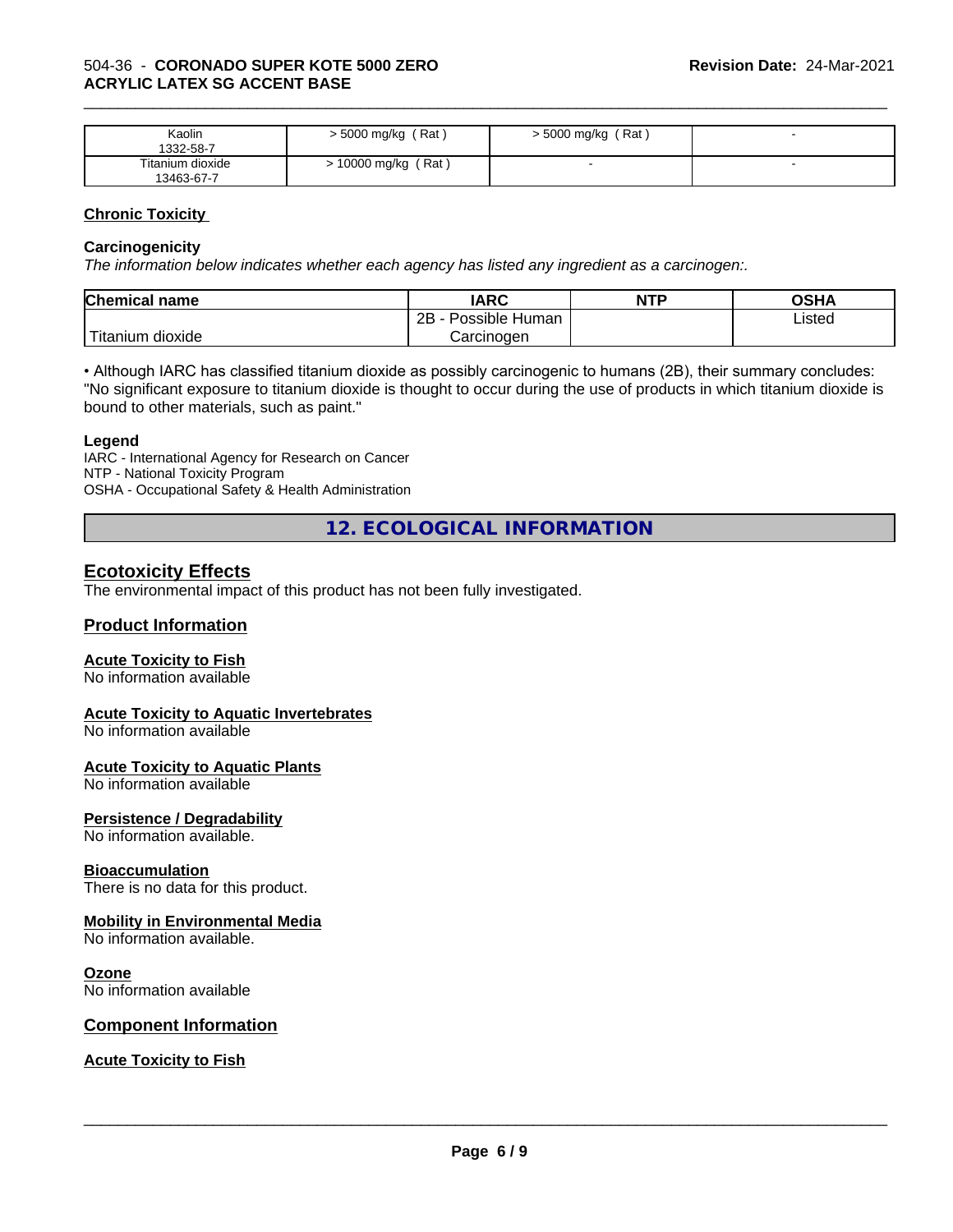## 504-36 - **CORONADO SUPER KOTE 5000 ZERO ACRYLIC LATEX SG ACCENT BASE**

| Kaolin<br>1332-58-7            | $>$ 5000 mg/kg (Rat) | $>$ 5000 mg/kg (Rat) |  |
|--------------------------------|----------------------|----------------------|--|
| Titanium dioxide<br>13463-67-7 | (Rat)<br>10000 mg/kg |                      |  |

\_\_\_\_\_\_\_\_\_\_\_\_\_\_\_\_\_\_\_\_\_\_\_\_\_\_\_\_\_\_\_\_\_\_\_\_\_\_\_\_\_\_\_\_\_\_\_\_\_\_\_\_\_\_\_\_\_\_\_\_\_\_\_\_\_\_\_\_\_\_\_\_\_\_\_\_\_\_\_\_\_\_\_\_\_\_\_\_\_\_\_\_\_

## **Chronic Toxicity**

## **Carcinogenicity**

*The information below indicateswhether each agency has listed any ingredient as a carcinogen:.*

| <b>Chemical name</b>             | <b>IARC</b>          | <b>NTP</b> | OSHA   |
|----------------------------------|----------------------|------------|--------|
|                                  | Possible Human<br>2B |            | Listed |
| $\mathbf{r}$<br>Fitanium dioxide | Carcinogen           |            |        |

• Although IARC has classified titanium dioxide as possibly carcinogenic to humans (2B), their summary concludes: "No significant exposure to titanium dioxide is thought to occur during the use of products in which titanium dioxide is bound to other materials, such as paint."

## **Legend**

IARC - International Agency for Research on Cancer NTP - National Toxicity Program OSHA - Occupational Safety & Health Administration

**12. ECOLOGICAL INFORMATION**

## **Ecotoxicity Effects**

The environmental impact of this product has not been fully investigated.

## **Product Information**

## **Acute Toxicity to Fish**

No information available

## **Acute Toxicity to Aquatic Invertebrates**

No information available

## **Acute Toxicity to Aquatic Plants**

No information available

## **Persistence / Degradability**

No information available.

## **Bioaccumulation**

There is no data for this product.

## **Mobility in Environmental Media**

No information available.

## **Ozone**

No information available

## **Component Information**

## **Acute Toxicity to Fish**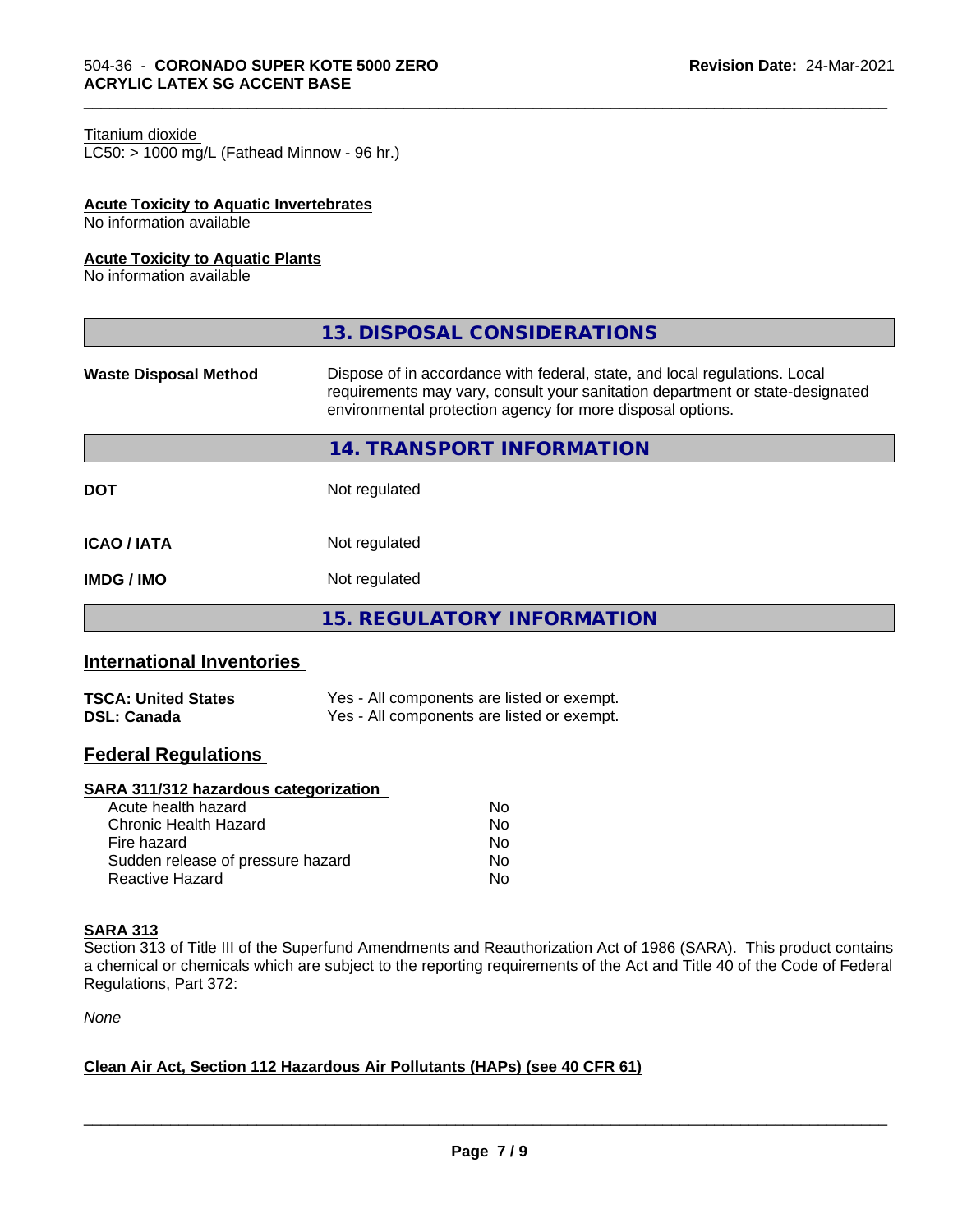#### Titanium dioxide

 $LC50:$  > 1000 mg/L (Fathead Minnow - 96 hr.)

## **Acute Toxicity to Aquatic Invertebrates**

No information available

#### **Acute Toxicity to Aquatic Plants**

No information available

|                              | 13. DISPOSAL CONSIDERATIONS                                                                                                                                                                                               |
|------------------------------|---------------------------------------------------------------------------------------------------------------------------------------------------------------------------------------------------------------------------|
| <b>Waste Disposal Method</b> | Dispose of in accordance with federal, state, and local regulations. Local<br>requirements may vary, consult your sanitation department or state-designated<br>environmental protection agency for more disposal options. |
|                              | 14. TRANSPORT INFORMATION                                                                                                                                                                                                 |
| <b>DOT</b>                   | Not regulated                                                                                                                                                                                                             |
| <b>ICAO / IATA</b>           | Not regulated                                                                                                                                                                                                             |
| <b>IMDG/IMO</b>              | Not regulated                                                                                                                                                                                                             |
|                              | <b>15. REGULATORY INFORMATION</b>                                                                                                                                                                                         |

\_\_\_\_\_\_\_\_\_\_\_\_\_\_\_\_\_\_\_\_\_\_\_\_\_\_\_\_\_\_\_\_\_\_\_\_\_\_\_\_\_\_\_\_\_\_\_\_\_\_\_\_\_\_\_\_\_\_\_\_\_\_\_\_\_\_\_\_\_\_\_\_\_\_\_\_\_\_\_\_\_\_\_\_\_\_\_\_\_\_\_\_\_

## **International Inventories**

| <b>TSCA: United States</b> | Yes - All components are listed or exempt. |
|----------------------------|--------------------------------------------|
| <b>DSL: Canada</b>         | Yes - All components are listed or exempt. |

## **Federal Regulations**

### **SARA 311/312 hazardous categorization**

| Acute health hazard               | Nο |  |
|-----------------------------------|----|--|
| Chronic Health Hazard             | Nο |  |
| Fire hazard                       | N٥ |  |
| Sudden release of pressure hazard | Nο |  |
| Reactive Hazard                   | Nο |  |

#### **SARA 313**

Section 313 of Title III of the Superfund Amendments and Reauthorization Act of 1986 (SARA). This product contains a chemical or chemicals which are subject to the reporting requirements of the Act and Title 40 of the Code of Federal Regulations, Part 372:

*None*

## **Clean Air Act,Section 112 Hazardous Air Pollutants (HAPs) (see 40 CFR 61)**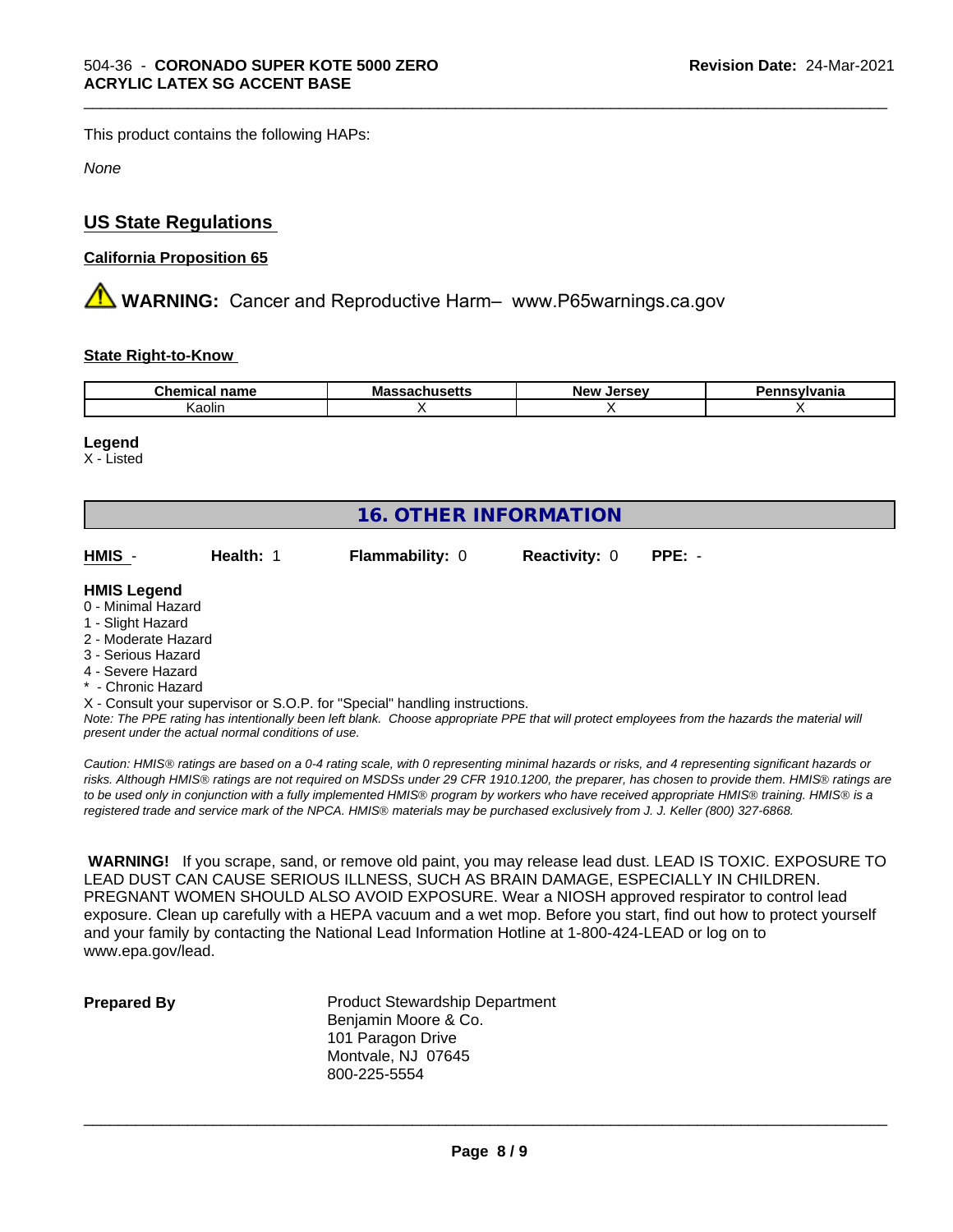This product contains the following HAPs:

*None*

## **US State Regulations**

## **California Proposition 65**

**A WARNING:** Cancer and Reproductive Harm– www.P65warnings.ca.gov

## **State Right-to-Know**

| Cher<br>name<br>шса | Mass<br>saunus <del>c</del> us | المعتما<br><b>Nev</b><br>135<br> | vivania |
|---------------------|--------------------------------|----------------------------------|---------|
| Kaolin              |                                |                                  |         |

\_\_\_\_\_\_\_\_\_\_\_\_\_\_\_\_\_\_\_\_\_\_\_\_\_\_\_\_\_\_\_\_\_\_\_\_\_\_\_\_\_\_\_\_\_\_\_\_\_\_\_\_\_\_\_\_\_\_\_\_\_\_\_\_\_\_\_\_\_\_\_\_\_\_\_\_\_\_\_\_\_\_\_\_\_\_\_\_\_\_\_\_\_

## **Legend**

X - Listed

| <b>16. OTHER INFORMATION</b>             |           |                                                                            |                      |          |  |  |  |  |
|------------------------------------------|-----------|----------------------------------------------------------------------------|----------------------|----------|--|--|--|--|
| HMIS -                                   | Health: 1 | <b>Flammability: 0</b>                                                     | <b>Reactivity: 0</b> | $PPE: -$ |  |  |  |  |
| <b>HMIS Legend</b><br>0 - Minimal Hazard |           |                                                                            |                      |          |  |  |  |  |
| 1 - Slight Hazard<br>2 - Moderate Hazard |           |                                                                            |                      |          |  |  |  |  |
| 3 - Serious Hazard                       |           |                                                                            |                      |          |  |  |  |  |
| 4 - Severe Hazard                        |           |                                                                            |                      |          |  |  |  |  |
| * - Chronic Hazard                       |           |                                                                            |                      |          |  |  |  |  |
|                                          |           | X - Consult your supervisor or S.O.P. for "Special" handling instructions. |                      |          |  |  |  |  |

*Note: The PPE rating has intentionally been left blank. Choose appropriate PPE that will protect employees from the hazards the material will present under the actual normal conditions of use.*

*Caution: HMISÒ ratings are based on a 0-4 rating scale, with 0 representing minimal hazards or risks, and 4 representing significant hazards or risks. Although HMISÒ ratings are not required on MSDSs under 29 CFR 1910.1200, the preparer, has chosen to provide them. HMISÒ ratings are to be used only in conjunction with a fully implemented HMISÒ program by workers who have received appropriate HMISÒ training. HMISÒ is a registered trade and service mark of the NPCA. HMISÒ materials may be purchased exclusively from J. J. Keller (800) 327-6868.*

 **WARNING!** If you scrape, sand, or remove old paint, you may release lead dust. LEAD IS TOXIC. EXPOSURE TO LEAD DUST CAN CAUSE SERIOUS ILLNESS, SUCH AS BRAIN DAMAGE, ESPECIALLY IN CHILDREN. PREGNANT WOMEN SHOULD ALSO AVOID EXPOSURE. Wear a NIOSH approved respirator to control lead exposure. Clean up carefully with a HEPA vacuum and a wet mop. Before you start, find out how to protect yourself and your family by contacting the National Lead Information Hotline at 1-800-424-LEAD or log on to www.epa.gov/lead.

**Prepared By** Product Stewardship Department Benjamin Moore & Co. 101 Paragon Drive Montvale, NJ 07645 800-225-5554